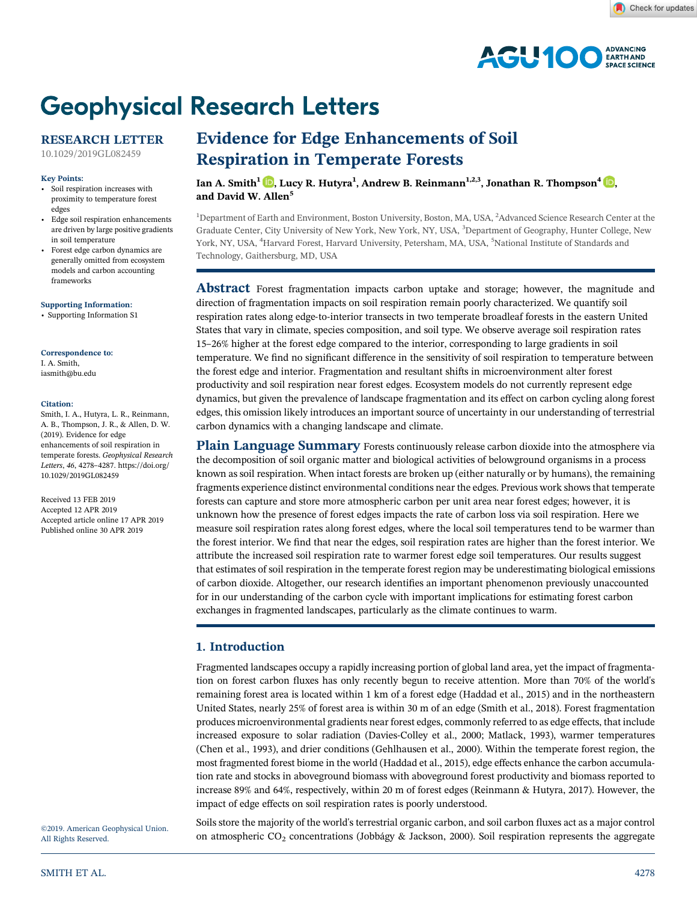

# **Geophysical Research Letters**

# **RESEARCH LETTER**

[10.1029/2019GL082459](http://dx.doi.org/10.1029/2019GL082459)

## **Key Points:**

- Soil respiration increases with proximity to temperature forest edges
- Edge soil respiration enhancements are driven by large positive gradients in soil temperature
- Forest edge carbon dynamics are generally omitted from ecosystem models and carbon accounting frameworks

**[Supporting Information:](http://dx.doi.org/10.1029/2019GL082459)**

[•](http://dx.doi.org/10.1029/2019GL082459) Supporting Information:

## **Correspondence to:**

I. A. Smith, [iasmith@bu.edu](mailto:iasmith@bu.edu)

#### **Citation:**

Smith, I. A., Hutyra, L. R., Reinmann, A. B., Thompson, J. R., & Allen, D. W. (2019). Evidence for edge enhancements of soil respiration in temperate forests. *Geophysical Research Letters*, *<sup>46</sup>*, 4278–4287. [https://doi.org/](https://doi.org/10.1029/2019GL082459) [10.1029/2019GL082459](https://doi.org/10.1029/2019GL082459)

Received 13 FEB 2019 Accepted 12 APR 2019 Accepted article online 17 APR 2019 Published online 30 APR 2019

All Rights Reserved.

# **Evidence for Edge Enhancements of Soil Respiration in Temperate Forests**

 $\text{Ian A. Smith}^1$   $\text{\textcircled{D}},$  $\text{\textcircled{D}},$  Lucy R. Hutyra $^1$ , Andrew B. Reinmann $^{1,2,3},$  Jonathan R. Thompson $^4$   $\text{\textcircled{D}},$ **and David W. Allen<sup>5</sup>**

<sup>1</sup>Department of Earth and Environment, Boston University, Boston, MA, USA, <sup>2</sup>Advanced Science Research Center at the Graduate Center, City University of New York, New York, NY, USA, <sup>3</sup>Department of Geography, Hunter College, New York, NY, USA, <sup>4</sup>Harvard Forest, Harvard University, Petersham, MA, USA, <sup>5</sup>National Institute of Standards and Technology, Gaithersburg, MD, USA

**Abstract** Forest fragmentation impacts carbon uptake and storage; however, the magnitude and direction of fragmentation impacts on soil respiration remain poorly characterized. We quantify soil respiration rates along edge‐to‐interior transects in two temperate broadleaf forests in the eastern United States that vary in climate, species composition, and soil type. We observe average soil respiration rates <sup>15</sup>–26% higher at the forest edge compared to the interior, corresponding to large gradients in soil temperature. We find no significant difference in the sensitivity of soil respiration to temperature between the forest edge and interior. Fragmentation and resultant shifts in microenvironment alter forest productivity and soil respiration near forest edges. Ecosystem models do not currently represent edge dynamics, but given the prevalence of landscape fragmentation and its effect on carbon cycling along forest edges, this omission likely introduces an important source of uncertainty in our understanding of terrestrial carbon dynamics with a changing landscape and climate.

**Plain Language Summary** Forests continuously release carbon dioxide into the atmosphere via the decomposition of soil organic matter and biological activities of belowground organisms in a process known as soil respiration. When intact forests are broken up (either naturally or by humans), the remaining fragments experience distinct environmental conditions near the edges. Previous work shows that temperate forests can capture and store more atmospheric carbon per unit area near forest edges; however, it is unknown how the presence of forest edges impacts the rate of carbon loss via soil respiration. Here we measure soil respiration rates along forest edges, where the local soil temperatures tend to be warmer than the forest interior. We find that near the edges, soil respiration rates are higher than the forest interior. We attribute the increased soil respiration rate to warmer forest edge soil temperatures. Our results suggest that estimates of soil respiration in the temperate forest region may be underestimating biological emissions of carbon dioxide. Altogether, our research identifies an important phenomenon previously unaccounted for in our understanding of the carbon cycle with important implications for estimating forest carbon exchanges in fragmented landscapes, particularly as the climate continues to warm.

# **1. Introduction**

Fragmented landscapes occupy a rapidly increasing portion of global land area, yet the impact of fragmentation on forest carbon fluxes has only recently begun to receive attention. More than 70% of the world's remaining forest area is located within 1 km of a forest edge (Haddad et al., 2015) and in the northeastern United States, nearly 25% of forest area is within 30 m of an edge (Smith et al., 2018). Forest fragmentation produces microenvironmental gradients near forest edges, commonly referred to as edge effects, that include increased exposure to solar radiation (Davies‐Colley et al., 2000; Matlack, 1993), warmer temperatures (Chen et al., 1993), and drier conditions (Gehlhausen et al., 2000). Within the temperate forest region, the most fragmented forest biome in the world (Haddad et al., 2015), edge effects enhance the carbon accumulation rate and stocks in aboveground biomass with aboveground forest productivity and biomass reported to increase 89% and 64%, respectively, within 20 m of forest edges (Reinmann & Hutyra, 2017). However, the impact of edge effects on soil respiration rates is poorly understood.

Soils store the majority of the world's terrestrial organic carbon, and soil carbon fluxes act as a major control @2019. American Geophysical Union. Soons store the majority of the world's terrestrial organic carbon, and son carbon nakes det as a major control<br>All Rights Reserved. **On all Rights Reserved. On almospheric CO**<sub>2</sub> conce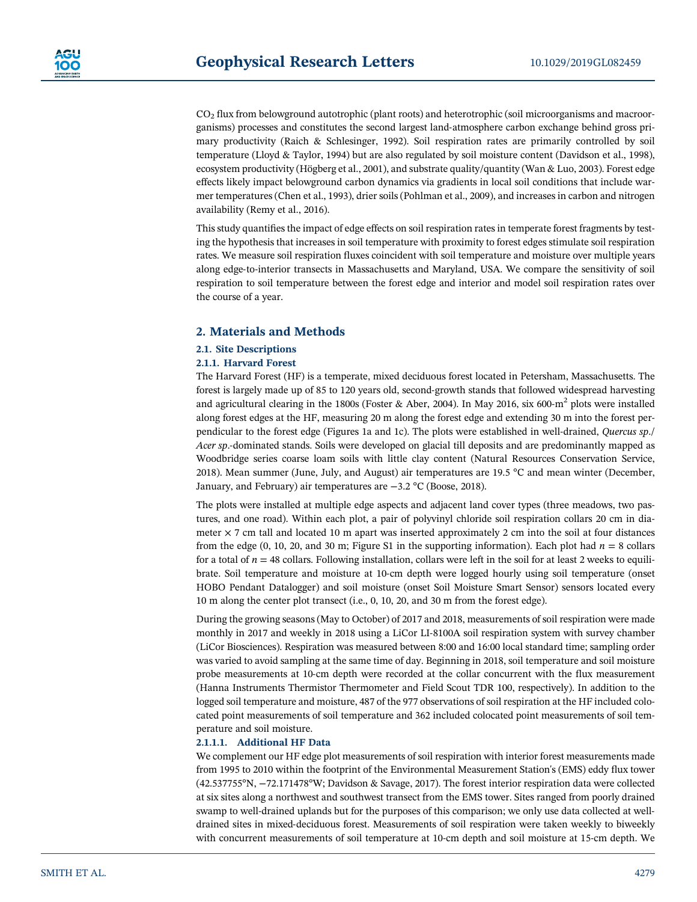$CO<sub>2</sub>$  flux from belowground autotrophic (plant roots) and heterotrophic (soil microorganisms and macroorganisms) processes and constitutes the second largest land‐atmosphere carbon exchange behind gross primary productivity (Raich & Schlesinger, 1992). Soil respiration rates are primarily controlled by soil temperature (Lloyd & Taylor, 1994) but are also regulated by soil moisture content (Davidson et al., 1998), ecosystem productivity (Högberg et al., 2001), and substrate quality/quantity (Wan & Luo, 2003). Forest edge effects likely impact belowground carbon dynamics via gradients in local soil conditions that include warmer temperatures (Chen et al., 1993), drier soils (Pohlman et al., 2009), and increases in carbon and nitrogen availability (Remy et al., 2016).

This study quantifies the impact of edge effects on soil respiration rates in temperate forest fragments by testing the hypothesis that increases in soil temperature with proximity to forest edges stimulate soil respiration rates. We measure soil respiration fluxes coincident with soil temperature and moisture over multiple years along edge‐to‐interior transects in Massachusetts and Maryland, USA. We compare the sensitivity of soil respiration to soil temperature between the forest edge and interior and model soil respiration rates over the course of a year.

# **2. Materials and Methods**

# **2.1. Site Descriptions**

## **2.1.1. Harvard Forest**

The Harvard Forest (HF) is a temperate, mixed deciduous forest located in Petersham, Massachusetts. The forest is largely made up of 85 to 120 years old, second‐growth stands that followed widespread harvesting and agricultural clearing in the 1800s (Foster & Aber, 2004). In May 2016, six 600 $\text{cm}^2$  plots were installed along forest edges at the HF, measuring 20 m along the forest edge and extending 30 m into the forest perpendicular to the forest edge (Figures 1a and 1c). The plots were established in well‐drained, *Quercus sp*./ *Acer sp*.‐dominated stands. Soils were developed on glacial till deposits and are predominantly mapped as Woodbridge series coarse loam soils with little clay content (Natural Resources Conservation Service, 2018). Mean summer (June, July, and August) air temperatures are 19.5 °C and mean winter (December, January, and February) air temperatures are −3.2 °C (Boose, 2018).

The plots were installed at multiple edge aspects and adjacent land cover types (three meadows, two pastures, and one road). Within each plot, a pair of polyvinyl chloride soil respiration collars 20 cm in diameter  $\times$  7 cm tall and located 10 m apart was inserted approximately 2 cm into the soil at four distances from the edge  $(0, 10, 20,$  and 30 m; Figure S1 in the supporting information). Each plot had  $n = 8$  collars for a total of  $n = 48$  collars. Following installation, collars were left in the soil for at least 2 weeks to equilibrate. Soil temperature and moisture at 10‐cm depth were logged hourly using soil temperature (onset HOBO Pendant Datalogger) and soil moisture (onset Soil Moisture Smart Sensor) sensors located every 10 m along the center plot transect (i.e., 0, 10, 20, and 30 m from the forest edge).

During the growing seasons (May to October) of 2017 and 2018, measurements of soil respiration were made monthly in 2017 and weekly in 2018 using a LiCor LI‐8100A soil respiration system with survey chamber (LiCor Biosciences). Respiration was measured between 8:00 and 16:00 local standard time; sampling order was varied to avoid sampling at the same time of day. Beginning in 2018, soil temperature and soil moisture probe measurements at 10-cm depth were recorded at the collar concurrent with the flux measurement (Hanna Instruments Thermistor Thermometer and Field Scout TDR 100, respectively). In addition to the logged soil temperature and moisture, 487 of the 977 observations of soil respiration at the HF included colocated point measurements of soil temperature and 362 included colocated point measurements of soil temperature and soil moisture.

#### **2.1.1.1. Additional HF Data**

We complement our HF edge plot measurements of soil respiration with interior forest measurements made from 1995 to 2010 within the footprint of the Environmental Measurement Station's (EMS) eddy flux tower (42.537755°N, −72.171478°W; Davidson & Savage, 2017). The forest interior respiration data were collected at six sites along a northwest and southwest transect from the EMS tower. Sites ranged from poorly drained swamp to well-drained uplands but for the purposes of this comparison; we only use data collected at well– drained sites in mixed‐deciduous forest. Measurements of soil respiration were taken weekly to biweekly with concurrent measurements of soil temperature at 10-cm depth and soil moisture at 15-cm depth. We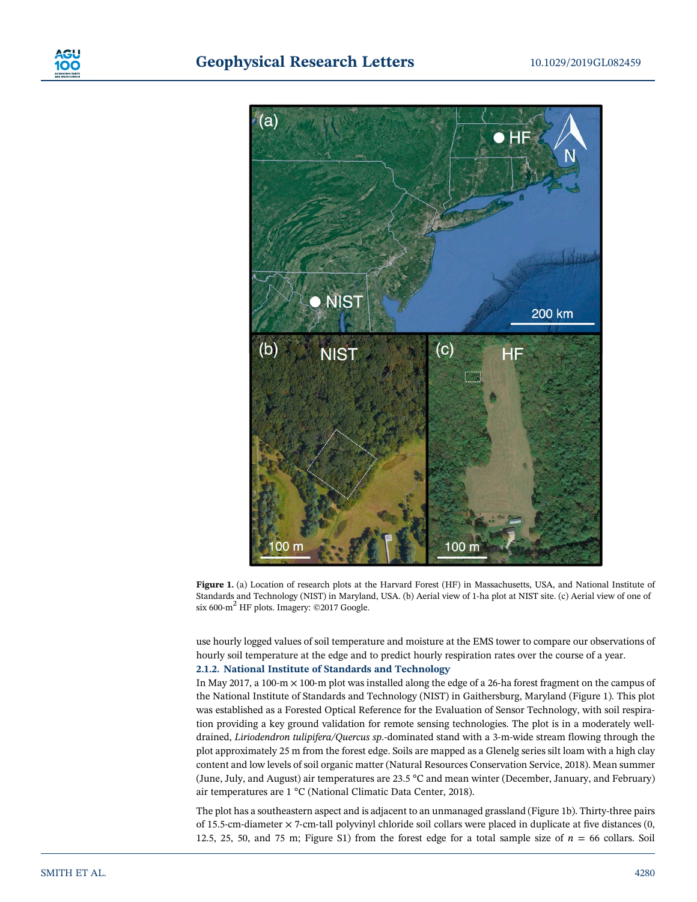

Figure 1. (a) Location of research plots at the Harvard Forest (HF) in Massachusetts, USA, and National Institute of Standards and Technology (NIST) in Maryland, USA. (b) Aerial view of 1‐ha plot at NIST site. (c) Aerial view of one of six 600- $m^2$  HF plots. Imagery: ©2017 Google.

use hourly logged values of soil temperature and moisture at the EMS tower to compare our observations of hourly soil temperature at the edge and to predict hourly respiration rates over the course of a year. **2.1.2. National Institute of Standards and Technology**

In May 2017, a 100-m  $\times$  100-m plot was installed along the edge of a 26-ha forest fragment on the campus of the National Institute of Standards and Technology (NIST) in Gaithersburg, Maryland (Figure 1). This plot was established as a Forested Optical Reference for the Evaluation of Sensor Technology, with soil respiration providing a key ground validation for remote sensing technologies. The plot is in a moderately welldrained, *Liriodendron tulipifera/Quercus sp*.‐dominated stand with a 3‐m‐wide stream flowing through the plot approximately 25 m from the forest edge. Soils are mapped as a Glenelg series silt loam with a high clay content and low levels of soil organic matter (Natural Resources Conservation Service, 2018). Mean summer (June, July, and August) air temperatures are 23.5 °C and mean winter (December, January, and February) air temperatures are 1 °C (National Climatic Data Center, 2018).

The plot has a southeastern aspect and is adjacent to an unmanaged grassland (Figure 1b). Thirty‐three pairs of 15.5‐cm‐diameter × 7‐cm‐tall polyvinyl chloride soil collars were placed in duplicate at five distances (0, 12.5, 25, 50, and 75 m; Figure S1) from the forest edge for a total sample size of  $n = 66$  collars. Soil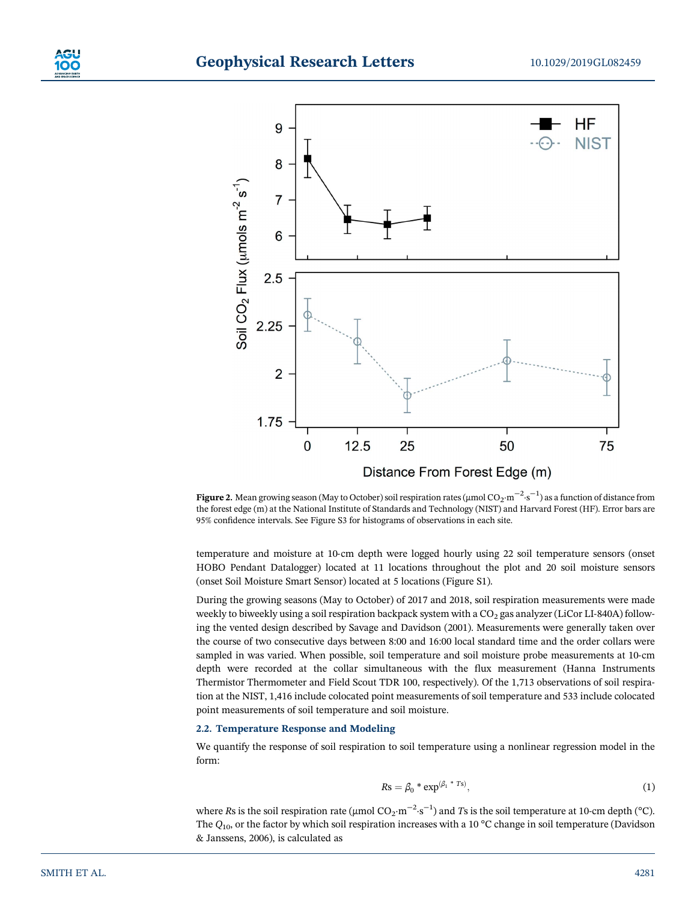

**Figure 2.** Mean growing season (May to October) soil respiration rates (μmol CO<sub>2</sub>·m<sup>−2</sup>·s<sup>−1</sup>) as a function of distance from the forest edge (m) at the National Institute of Standards and Technology (NIST) and Harvard Forest (HF). Error bars are 95% confidence intervals. See Figure S3 for histograms of observations in each site.

temperature and moisture at 10‐cm depth were logged hourly using 22 soil temperature sensors (onset HOBO Pendant Datalogger) located at 11 locations throughout the plot and 20 soil moisture sensors (onset Soil Moisture Smart Sensor) located at 5 locations (Figure S1).

During the growing seasons (May to October) of 2017 and 2018, soil respiration measurements were made weekly to biweekly using a soil respiration backpack system with a  $CO<sub>2</sub>$  gas analyzer (LiCor LI-840A) following the vented design described by Savage and Davidson (2001). Measurements were generally taken over the course of two consecutive days between 8:00 and 16:00 local standard time and the order collars were sampled in was varied. When possible, soil temperature and soil moisture probe measurements at 10-cm depth were recorded at the collar simultaneous with the flux measurement (Hanna Instruments Thermistor Thermometer and Field Scout TDR 100, respectively). Of the 1,713 observations of soil respiration at the NIST, 1,416 include colocated point measurements of soil temperature and 533 include colocated point measurements of soil temperature and soil moisture.

## **2.2. Temperature Response and Modeling**

We quantify the response of soil respiration to soil temperature using a nonlinear regression model in the form:

$$
Rs = \beta_0 \cdot \exp^{(\beta_1 \cdot \tau_{\text{S}})},\tag{1}
$$

where *R*s is the soil respiration rate (µmol  $CO_2 \cdot m^{-2} \cdot s^{-1}$ ) and *T*s is the soil temperature at 10-cm depth (°C). The  $Q_{10}$ , or the factor by which soil respiration increases with a 10 °C change in soil temperature (Davidson & Janssens, 2006), is calculated as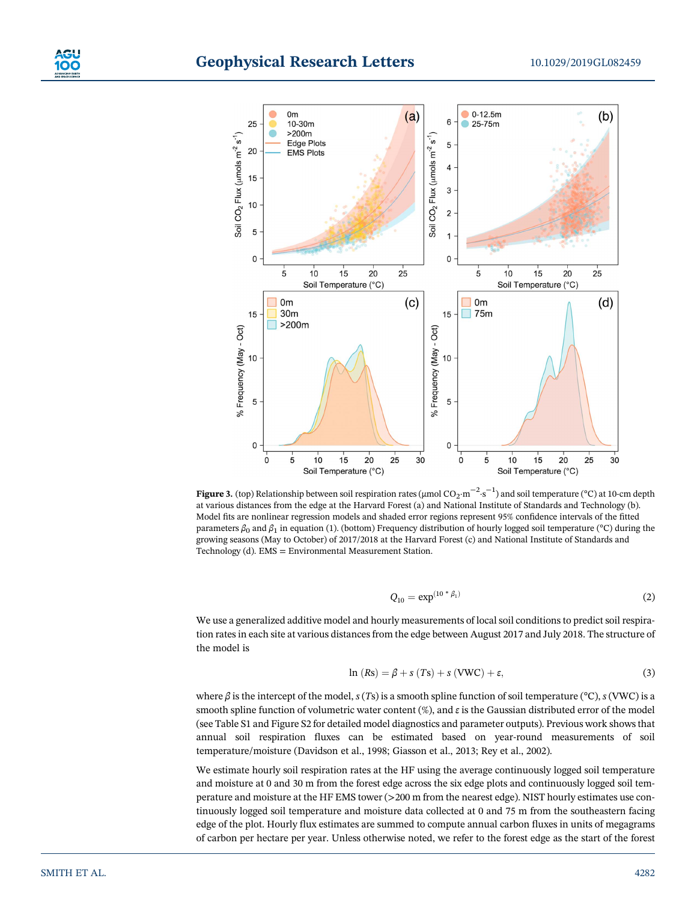

**Figure 3.** (top) Relationship between soil respiration rates (μmol CO<sub>2</sub>·m<sup>−2</sup>·s<sup>−1</sup>) and soil temperature (°C) at 10-cm depth at various distances from the edge at the Harvard Forest (a) and National Institute of Standards and Technology (b). Model fits are nonlinear regression models and shaded error regions represent 95% confidence intervals of the fitted parameters *β*0 and *β*1 in equation (1). (bottom) Frequency distribution of hourly logged soil temperature (°C) during the growing seasons (May to October) of 2017/2018 at the Harvard Forest (c) and National Institute of Standards and Technology (d). EMS = Environmental Measurement Station.

$$
Q_{10} = \exp^{(10 \ * \ \beta_1)} \tag{2}
$$

We use a generalized additive model and hourly measurements of local soil conditions to predict soil respiration rates in each site at various distances from the edge between August 2017 and July 2018. The structure of the model is

$$
\ln(Rs) = \beta + s(Ts) + s(VWC) + \varepsilon,
$$
\n(3)

where *β* is the intercept of the model, *s* (*T*s) is a smooth spline function of soil temperature (°C), *s* (VWC) is a smooth spline function of volumetric water content (%), and *ε* is the Gaussian distributed error of the model (see Table S1 and Figure S2 for detailed model diagnostics and parameter outputs). Previous work shows that annual soil respiration fluxes can be estimated based on year‐round measurements of soil temperature/moisture (Davidson et al., 1998; Giasson et al., 2013; Rey et al., 2002).

We estimate hourly soil respiration rates at the HF using the average continuously logged soil temperature and moisture at 0 and 30 m from the forest edge across the six edge plots and continuously logged soil temperature and moisture at the HF EMS tower (>200 m from the nearest edge). NIST hourly estimates use continuously logged soil temperature and moisture data collected at 0 and 75 m from the southeastern facing edge of the plot. Hourly flux estimates are summed to compute annual carbon fluxes in units of megagrams of carbon per hectare per year. Unless otherwise noted, we refer to the forest edge as the start of the forest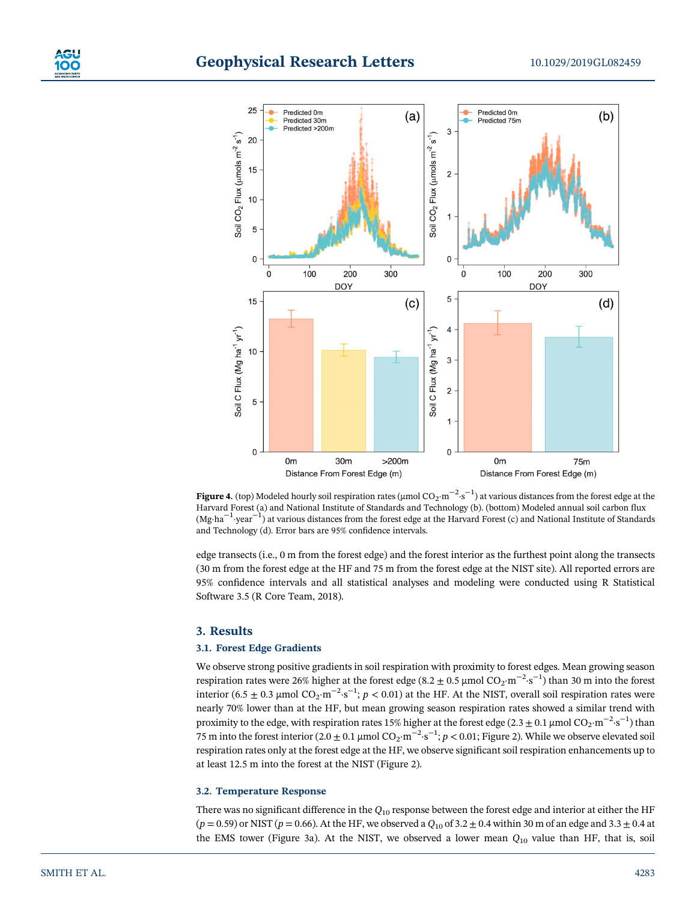



**Figure 4.** (top) Modeled hourly soil respiration rates (μmol CO<sub>2</sub>·m<sup>−2</sup>·s<sup>−1</sup>) at various distances from the forest edge at the Harvard Forest (a) and National Institute of Standards and Technology (b). (bottom) Modeled annual soil carbon flux (Mg·ha−<sup>1</sup> ·year−<sup>1</sup> ) at various distances from the forest edge at the Harvard Forest (c) and National Institute of Standards and Technology (d). Error bars are 95% confidence intervals.

edge transects (i.e., 0 m from the forest edge) and the forest interior as the furthest point along the transects (30 m from the forest edge at the HF and 75 m from the forest edge at the NIST site). All reported errors are 95% confidence intervals and all statistical analyses and modeling were conducted using R Statistical Software 3.5 (R Core Team, 2018).

#### **3. Results**

#### **3.1. Forest Edge Gradients**

We observe strong positive gradients in soil respiration with proximity to forest edges. Mean growing season respiration rates were 26% higher at the forest edge (8.2  $\pm$  0.5 µmol CO<sub>2</sub>·m<sup>-2</sup>·s<sup>-1</sup>) than 30 m into the forest interior (6.5  $\pm$  0.3 µmol CO<sub>2</sub>·m<sup>-2</sup>·s<sup>-1</sup>; *p* < 0.01) at the HF. At the NIST, overall soil respiration rates were nearly 70% lower than at the HF, but mean growing season respiration rates showed a similar trend with proximity to the edge, with respiration rates 15% higher at the forest edge (2.3 ± 0.1 µmol CO<sub>2</sub>·m<sup>−2</sup>·s<sup>−1</sup>) than 75 m into the forest interior (2.0 ± 0.1 μmol CO<sub>2</sub>·m<sup>−2</sup>·s<sup>−1</sup>; *p* < 0.01; Figure 2). While we observe elevated soil respiration rates only at the forest edge at the HF, we observe significant soil respiration enhancements up to at least 12.5 m into the forest at the NIST (Figure 2).

#### **3.2. Temperature Response**

There was no significant difference in the *Q*<sup>10</sup> response between the forest edge and interior at either the HF  $(p = 0.59)$  or NIST ( $p = 0.66$ ). At the HF, we observed a  $Q_{10}$  of 3.2  $\pm$  0.4 within 30 m of an edge and 3.3  $\pm$  0.4 at the EMS tower (Figure 3a). At the NIST, we observed a lower mean *Q*<sup>10</sup> value than HF, that is, soil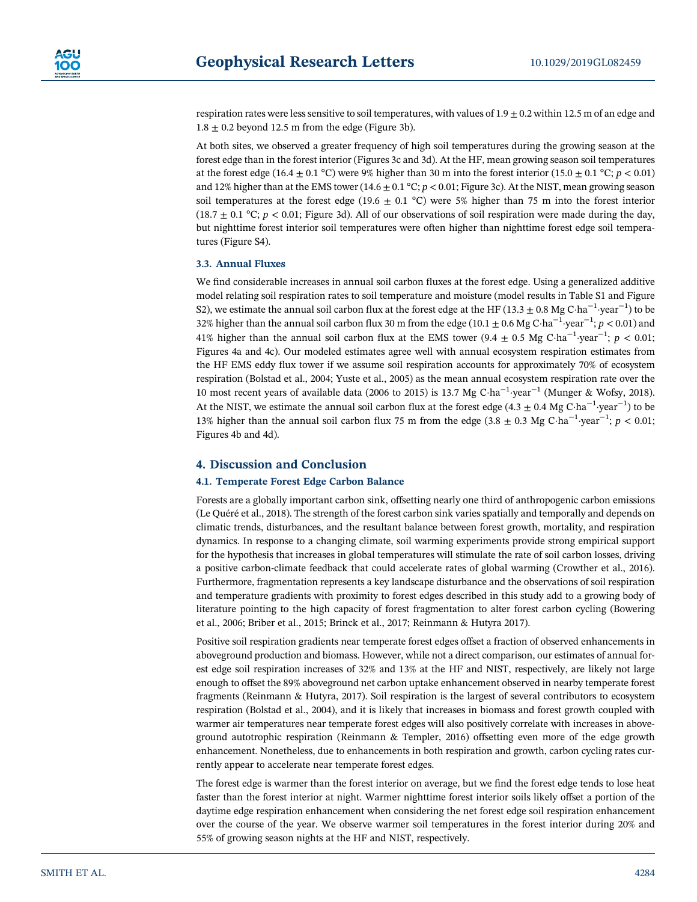respiration rates were less sensitive to soil temperatures, with values of  $1.9 \pm 0.2$  within 12.5 m of an edge and  $1.8 \pm 0.2$  beyond 12.5 m from the edge (Figure 3b).

At both sites, we observed a greater frequency of high soil temperatures during the growing season at the forest edge than in the forest interior (Figures 3c and 3d). At the HF, mean growing season soil temperatures at the forest edge (16.4  $\pm$  0.1 °C) were 9% higher than 30 m into the forest interior (15.0  $\pm$  0.1 °C; *p* < 0.01) and 12% higher than at the EMS tower (14.6  $\pm$  0.1 °C; *p* < 0.01; Figure 3c). At the NIST, mean growing season soil temperatures at the forest edge (19.6  $\pm$  0.1 °C) were 5% higher than 75 m into the forest interior  $(18.7 \pm 0.1 \degree \text{C}; p < 0.01$ ; Figure 3d). All of our observations of soil respiration were made during the day, but nighttime forest interior soil temperatures were often higher than nighttime forest edge soil temperatures (Figure S4).

## **3.3. Annual Fluxes**

We find considerable increases in annual soil carbon fluxes at the forest edge. Using a generalized additive model relating soil respiration rates to soil temperature and moisture (model results in Table S1 and Figure S2), we estimate the annual soil carbon flux at the forest edge at the HF (13.3  $\pm$  0.8 Mg C·ha $^{-1}$ ·year $^{-1}$ ) to be 32% higher than the annual soil carbon flux 30 m from the edge (10.1 ± 0.6 Mg C·ha−<sup>1</sup> ·year−<sup>1</sup> ; *p* < 0.01) and 41% higher than the annual soil carbon flux at the EMS tower (9.4  $\pm$  0.5 Mg C·ha<sup>-1</sup>·year<sup>-1</sup>; *p* < 0.01; Figures 4a and 4c). Our modeled estimates agree well with annual ecosystem respiration estimates from the HF EMS eddy flux tower if we assume soil respiration accounts for approximately 70% of ecosystem respiration (Bolstad et al., 2004; Yuste et al., 2005) as the mean annual ecosystem respiration rate over the 10 most recent years of available data (2006 to 2015) is 13.7 Mg C·ha<sup>-1</sup>·year<sup>-1</sup> (Munger & Wofsy, 2018). At the NIST, we estimate the annual soil carbon flux at the forest edge (4.3  $\pm$  0.4 Mg C·ha<sup>-1</sup>·year<sup>-1</sup>) to be 13% higher than the annual soil carbon flux 75 m from the edge (3.8  $\pm$  0.3 Mg C·ha<sup>-1</sup>·year<sup>-1</sup>; *p* < 0.01; Figures 4b and 4d).

# **4. Discussion and Conclusion**

#### **4.1. Temperate Forest Edge Carbon Balance**

Forests are a globally important carbon sink, offsetting nearly one third of anthropogenic carbon emissions (Le Quéré et al., 2018). The strength of the forest carbon sink varies spatially and temporally and depends on climatic trends, disturbances, and the resultant balance between forest growth, mortality, and respiration dynamics. In response to a changing climate, soil warming experiments provide strong empirical support for the hypothesis that increases in global temperatures will stimulate the rate of soil carbon losses, driving a positive carbon‐climate feedback that could accelerate rates of global warming (Crowther et al., 2016). Furthermore, fragmentation represents a key landscape disturbance and the observations of soil respiration and temperature gradients with proximity to forest edges described in this study add to a growing body of literature pointing to the high capacity of forest fragmentation to alter forest carbon cycling (Bowering et al., 2006; Briber et al., 2015; Brinck et al., 2017; Reinmann & Hutyra 2017).

Positive soil respiration gradients near temperate forest edges offset a fraction of observed enhancements in aboveground production and biomass. However, while not a direct comparison, our estimates of annual forest edge soil respiration increases of 32% and 13% at the HF and NIST, respectively, are likely not large enough to offset the 89% aboveground net carbon uptake enhancement observed in nearby temperate forest fragments (Reinmann & Hutyra, 2017). Soil respiration is the largest of several contributors to ecosystem respiration (Bolstad et al., 2004), and it is likely that increases in biomass and forest growth coupled with warmer air temperatures near temperate forest edges will also positively correlate with increases in aboveground autotrophic respiration (Reinmann & Templer, 2016) offsetting even more of the edge growth enhancement. Nonetheless, due to enhancements in both respiration and growth, carbon cycling rates currently appear to accelerate near temperate forest edges.

The forest edge is warmer than the forest interior on average, but we find the forest edge tends to lose heat faster than the forest interior at night. Warmer nighttime forest interior soils likely offset a portion of the daytime edge respiration enhancement when considering the net forest edge soil respiration enhancement over the course of the year. We observe warmer soil temperatures in the forest interior during 20% and 55% of growing season nights at the HF and NIST, respectively.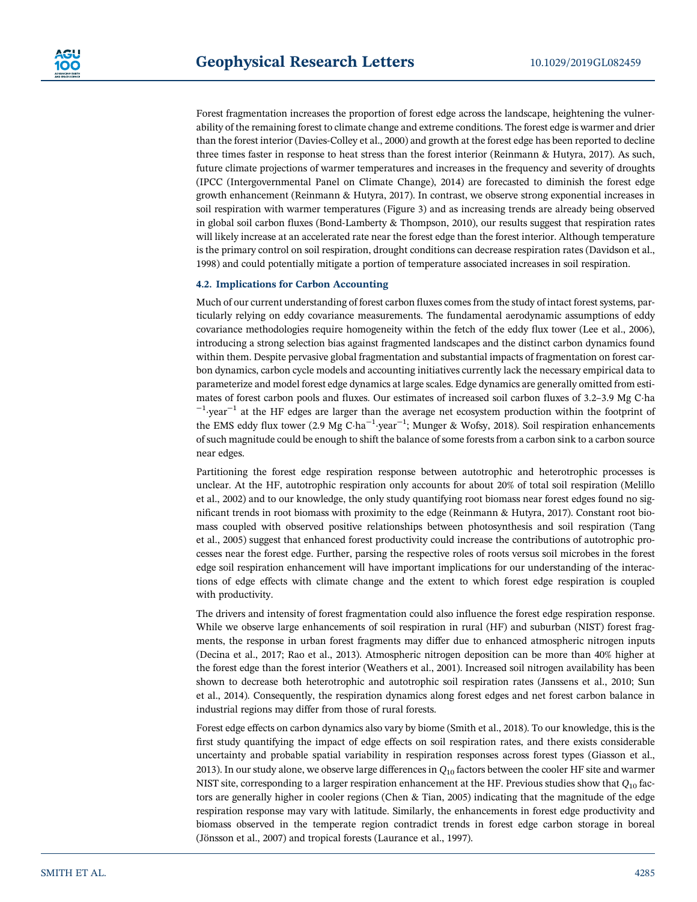Forest fragmentation increases the proportion of forest edge across the landscape, heightening the vulnerability of the remaining forest to climate change and extreme conditions. The forest edge is warmer and drier than the forest interior (Davies‐Colley et al., 2000) and growth at the forest edge has been reported to decline three times faster in response to heat stress than the forest interior (Reinmann & Hutyra, 2017). As such, future climate projections of warmer temperatures and increases in the frequency and severity of droughts (IPCC (Intergovernmental Panel on Climate Change), 2014) are forecasted to diminish the forest edge growth enhancement (Reinmann & Hutyra, 2017). In contrast, we observe strong exponential increases in soil respiration with warmer temperatures (Figure 3) and as increasing trends are already being observed in global soil carbon fluxes (Bond‐Lamberty & Thompson, 2010), our results suggest that respiration rates will likely increase at an accelerated rate near the forest edge than the forest interior. Although temperature is the primary control on soil respiration, drought conditions can decrease respiration rates (Davidson et al., 1998) and could potentially mitigate a portion of temperature associated increases in soil respiration.

#### **4.2. Implications for Carbon Accounting**

Much of our current understanding of forest carbon fluxes comes from the study of intact forest systems, particularly relying on eddy covariance measurements. The fundamental aerodynamic assumptions of eddy covariance methodologies require homogeneity within the fetch of the eddy flux tower (Lee et al., 2006), introducing a strong selection bias against fragmented landscapes and the distinct carbon dynamics found within them. Despite pervasive global fragmentation and substantial impacts of fragmentation on forest carbon dynamics, carbon cycle models and accounting initiatives currently lack the necessary empirical data to parameterize and model forest edge dynamics at large scales. Edge dynamics are generally omitted from estimates of forest carbon pools and fluxes. Our estimates of increased soil carbon fluxes of 3.2–3.9 Mg C·ha  $^{-1}$ -year<sup>-1</sup> at the HF edges are larger than the average net ecosystem production within the footprint of the EMS eddy flux tower (2.9 Mg C·ha<sup>-1</sup>·year<sup>-1</sup>; Munger & Wofsy, 2018). Soil respiration enhancements of such magnitude could be enough to shift the balance of some forests from a carbon sink to a carbon source near edges.

Partitioning the forest edge respiration response between autotrophic and heterotrophic processes is unclear. At the HF, autotrophic respiration only accounts for about 20% of total soil respiration (Melillo et al., 2002) and to our knowledge, the only study quantifying root biomass near forest edges found no significant trends in root biomass with proximity to the edge (Reinmann & Hutyra, 2017). Constant root biomass coupled with observed positive relationships between photosynthesis and soil respiration (Tang et al., 2005) suggest that enhanced forest productivity could increase the contributions of autotrophic processes near the forest edge. Further, parsing the respective roles of roots versus soil microbes in the forest edge soil respiration enhancement will have important implications for our understanding of the interactions of edge effects with climate change and the extent to which forest edge respiration is coupled with productivity.

The drivers and intensity of forest fragmentation could also influence the forest edge respiration response. While we observe large enhancements of soil respiration in rural (HF) and suburban (NIST) forest fragments, the response in urban forest fragments may differ due to enhanced atmospheric nitrogen inputs (Decina et al., 2017; Rao et al., 2013). Atmospheric nitrogen deposition can be more than 40% higher at the forest edge than the forest interior (Weathers et al., 2001). Increased soil nitrogen availability has been shown to decrease both heterotrophic and autotrophic soil respiration rates (Janssens et al., 2010; Sun et al., 2014). Consequently, the respiration dynamics along forest edges and net forest carbon balance in industrial regions may differ from those of rural forests.

Forest edge effects on carbon dynamics also vary by biome (Smith et al., 2018). To our knowledge, this is the first study quantifying the impact of edge effects on soil respiration rates, and there exists considerable uncertainty and probable spatial variability in respiration responses across forest types (Giasson et al., 2013). In our study alone, we observe large differences in *Q*<sup>10</sup> factors between the cooler HF site and warmer NIST site, corresponding to a larger respiration enhancement at the HF. Previous studies show that *Q*<sup>10</sup> factors are generally higher in cooler regions (Chen & Tian, 2005) indicating that the magnitude of the edge respiration response may vary with latitude. Similarly, the enhancements in forest edge productivity and biomass observed in the temperate region contradict trends in forest edge carbon storage in boreal (Jönsson et al., 2007) and tropical forests (Laurance et al., 1997).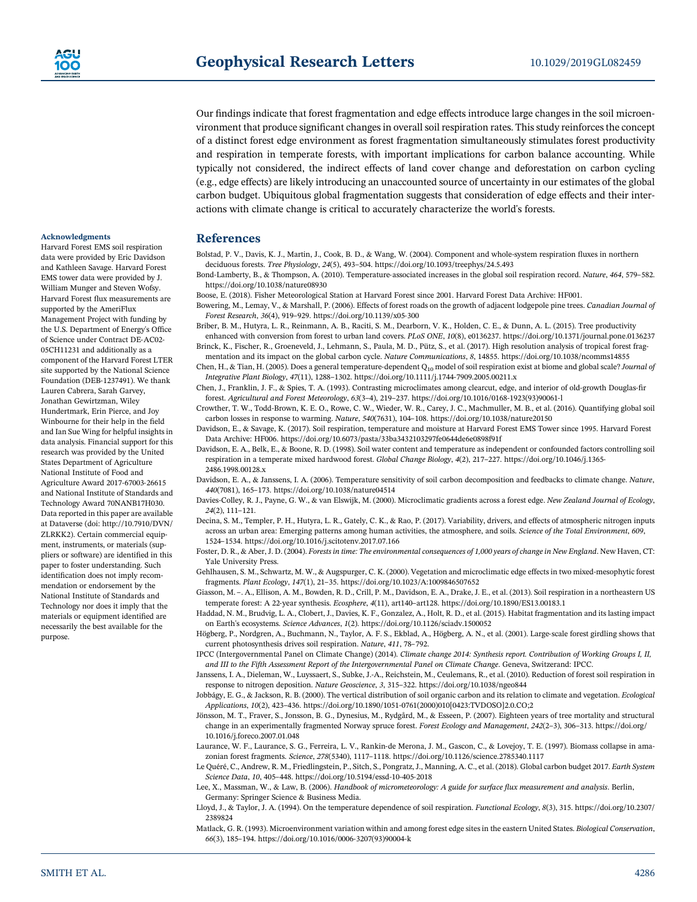Our findings indicate that forest fragmentation and edge effects introduce large changes in the soil microenvironment that produce significant changes in overall soil respiration rates. This study reinforces the concept of a distinct forest edge environment as forest fragmentation simultaneously stimulates forest productivity and respiration in temperate forests, with important implications for carbon balance accounting. While typically not considered, the indirect effects of land cover change and deforestation on carbon cycling (e.g., edge effects) are likely introducing an unaccounted source of uncertainty in our estimates of the global carbon budget. Ubiquitous global fragmentation suggests that consideration of edge effects and their interactions with climate change is critical to accurately characterize the world's forests.

#### **References**

Bolstad, P. V., Davis, K. J., Martin, J., Cook, B. D., & Wang, W. (2004). Component and whole‐system respiration fluxes in northern deciduous forests. *Tree Physiology*, *<sup>24</sup>*(5), 493–504.<https://doi.org/10.1093/treephys/24.5.493>

Bond‐Lamberty, B., & Thompson, A. (2010). Temperature‐associated increases in the global soil respiration record. *Nature*, *<sup>464</sup>*, 579–582. <https://doi.org/10.1038/nature08930>

Boose, E. (2018). Fisher Meteorological Station at Harvard Forest since 2001. Harvard Forest Data Archive: HF001.

- Bowering, M., Lemay, V., & Marshall, P. (2006). Effects of forest roads on the growth of adjacent lodgepole pine trees. *Canadian Journal of Forest Research*, *<sup>36</sup>*(4), 919–929. [https://doi.org/10.1139/x05](https://doi.org/10.1139/x05-300)‐<sup>300</sup>
- Briber, B. M., Hutyra, L. R., Reinmann, A. B., Raciti, S. M., Dearborn, V. K., Holden, C. E., & Dunn, A. L. (2015). Tree productivity enhanced with conversion from forest to urban land covers. *PLoS ONE*, *10*(8), e0136237.<https://doi.org/10.1371/journal.pone.0136237> Brinck, K., Fischer, R., Groeneveld, J., Lehmann, S., Paula, M. D., Pütz, S., et al. (2017). High resolution analysis of tropical forest frag-
- mentation and its impact on the global carbon cycle. *Nature Communications*, *8*, 14855.<https://doi.org/10.1038/ncomms14855> Chen, H., & Tian, H. (2005). Does a general temperature‐dependent Q10 model of soil respiration exist at biome and global scale? *Journal of*
- *Integrative Plant Biology*, *<sup>47</sup>*(11), 1288–1302. [https://doi.org/10.1111/j.1744](https://doi.org/10.1111/j.1744-7909.2005.00211.x)‐7909.2005.00211.x Chen, J., Franklin, J. F., & Spies, T. A. (1993). Contrasting microclimates among clearcut, edge, and interior of old‐growth Douglas‐fi<sup>r</sup>

forest. *Agricultural and Forest Meteorology*, *<sup>63</sup>*(3–4), 219–237. [https://doi.org/10.1016/0168](https://doi.org/10.1016/0168-1923(93)90061-l)‐1923(93)90061‐<sup>l</sup>

Crowther, T. W., Todd‐Brown, K. E. O., Rowe, C. W., Wieder, W. R., Carey, J. C., Machmuller, M. B., et al. (2016). Quantifying global soil carbon losses in response to warming. *Nature*, *<sup>540</sup>*(7631), 104–108.<https://doi.org/10.1038/nature20150>

Davidson, E., & Savage, K. (2017). Soil respiration, temperature and moisture at Harvard Forest EMS Tower since 1995. Harvard Forest Data Archive: HF006.<https://doi.org/10.6073/pasta/33ba3432103297fe0644de6e0898f91f>

- Davidson, E. A., Belk, E., & Boone, R. D. (1998). Soil water content and temperature as independent or confounded factors controlling soil respiration in a temperate mixed hardwood forest. *Global Change Biology*, *<sup>4</sup>*(2), 217–227. [https://doi.org/10.1046/j.1365](https://doi.org/10.1046/j.1365-2486.1998.00128.x)‐ [2486.1998.00128.x](https://doi.org/10.1046/j.1365-2486.1998.00128.x)
- Davidson, E. A., & Janssens, I. A. (2006). Temperature sensitivity of soil carbon decomposition and feedbacks to climate change. *Nature*, *<sup>440</sup>*(7081), 165–173.<https://doi.org/10.1038/nature04514>
- Davies‐Colley, R. J., Payne, G. W., & van Elswijk, M. (2000). Microclimatic gradients across a forest edge. *New Zealand Journal of Ecology*, *<sup>24</sup>*(2), 111–121.
- Decina, S. M., Templer, P. H., Hutyra, L. R., Gately, C. K., & Rao, P. (2017). Variability, drivers, and effects of atmospheric nitrogen inputs across an urban area: Emerging patterns among human activities, the atmosphere, and soils. *Science of the Total Environment*, *609*, <sup>1524</sup>–1534.<https://doi.org/10.1016/j.scitotenv.2017.07.166>
- Foster, D. R., & Aber, J. D. (2004). *Forests in time: The environmental consequences of 1,000 years of change in New England*. New Haven, CT: Yale University Press.
- Gehlhausen, S. M., Schwartz, M. W., & Augspurger, C. K. (2000). Vegetation and microclimatic edge effects in two mixed‐mesophytic forest fragments. *Plant Ecology*, *<sup>147</sup>*(1), 21–35.<https://doi.org/10.1023/A:1009846507652>
- Giasson, M. –. A., Ellison, A. M., Bowden, R. D., Crill, P. M., Davidson, E. A., Drake, J. E., et al. (2013). Soil respiration in a northeastern US temperate forest: A 22‐year synthesis. *Ecosphere*, *<sup>4</sup>*(11), art140–art128.<https://doi.org/10.1890/ES13.00183.1>

Haddad, N. M., Brudvig, L. A., Clobert, J., Davies, K. F., Gonzalez, A., Holt, R. D., et al. (2015). Habitat fragmentation and its lasting impact on Earth's ecosystems. *Science Advances*, *1*(2).<https://doi.org/10.1126/sciadv.1500052>

- Högberg, P., Nordgren, A., Buchmann, N., Taylor, A. F. S., Ekblad, A., Högberg, A. N., et al. (2001). Large‐scale forest girdling shows that current photosynthesis drives soil respiration. *Nature*, *<sup>411</sup>*, 78–792.
- IPCC (Intergovernmental Panel on Climate Change) (2014). *Climate change 2014: Synthesis report. Contribution of Working Groups I, II, and III to the Fifth Assessment Report of the Intergovernmental Panel on Climate Change*. Geneva, Switzerand: IPCC.
- Janssens, I. A., Dieleman, W., Luyssaert, S., Subke, J.‐A., Reichstein, M., Ceulemans, R., et al. (2010). Reduction of forest soil respiration in response to nitrogen deposition. *Nature Geoscience*, *<sup>3</sup>*, 315–322.<https://doi.org/10.1038/ngeo844>
- Jobbágy, E. G., & Jackson, R. B. (2000). The vertical distribution of soil organic carbon and its relation to climate and vegetation. *Ecological Applications*, *<sup>10</sup>*(2), 423–436. https://doi.org/10.1890/1051‐[0761\(2000\)010\[0423:TVDOSO\]2.0.CO;2](https://doi.org/10.1890/1051-0761(2000)010%5b0423:TVDOSO%5d2.0.CO;2)
- Jönsson, M. T., Fraver, S., Jonsson, B. G., Dynesius, M., Rydgård, M., & Esseen, P. (2007). Eighteen years of tree mortality and structural change in an experimentally fragmented Norway spruce forest. *Forest Ecology and Management*, *<sup>242</sup>*(2–3), 306–313. [https://doi.org/](https://doi.org/10.1016/j.foreco.2007.01.048) [10.1016/j.foreco.2007.01.048](https://doi.org/10.1016/j.foreco.2007.01.048)
- Laurance, W. F., Laurance, S. G., Ferreira, L. V., Rankin-de Merona, J. M., Gascon, C., & Lovejoy, T. E. (1997). Biomass collapse in amazonian forest fragments. *Science*, *<sup>278</sup>*(5340), 1117–1118.<https://doi.org/10.1126/science.2785340.1117>
- Le Quéré, C., Andrew, R. M., Friedlingstein, P., Sitch, S., Pongratz, J., Manning, A. C., et al. (2018). Global carbon budget 2017. *Earth System Science Data*, *<sup>10</sup>*, 405–448. [https://doi.org/10.5194/essd](https://doi.org/10.5194/essd-10-405-2018)‐10‐405‐<sup>2018</sup>
- Lee, X., Massman, W., & Law, B. (2006). *Handbook of micrometeorology: A guide for surface flux measurement and analysis*. Berlin, Germany: Springer Science & Business Media.
- Lloyd, J., & Taylor, J. A. (1994). On the temperature dependence of soil respiration. *Functional Ecology*, *8*(3), 315. [https://doi.org/10.2307/](https://doi.org/10.2307/2389824) [2389824](https://doi.org/10.2307/2389824)
- Matlack, G. R. (1993). Microenvironment variation within and among forest edge sites in the eastern United States. *Biological Conservation*, *<sup>66</sup>*(3), 185–194. [https://doi.org/10.1016/0006](https://doi.org/10.1016/0006-3207(93)90004-k)‐3207(93)90004‐<sup>k</sup>

#### **Acknowledgments** Harvard Forest EMS soil respiration

data were provided by Eric Davidson and Kathleen Savage. Harvard Forest EMS tower data were provided by J. William Munger and Steven Wofsy. Harvard Forest flux measurements are supported by the AmeriFlux Management Project with funding by the U.S. Department of Energy's Office of Science under Contract DE‐AC02‐ 05CH11231 and additionally as a component of the Harvard Forest LTER site supported by the National Science Foundation (DEB‐1237491). We thank Lauren Cabrera, Sarah Garvey, Jonathan Gewirtzman, Wiley Hundertmark, Erin Pierce, and Joy Winbourne for their help in the field and Ian Sue Wing for helpful insights in data analysis. Financial support for this research was provided by the United States Department of Agriculture National Institute of Food and Agriculture Award 2017‐67003‐<sup>26615</sup> and National Institute of Standards and Technology Award 70NANB17H030. Data reported in this paper are available at Dataverse (doi: [http://10.7910/DVN/](http://10.7910/DVN/ZLRKK2) [ZLRKK2](http://10.7910/DVN/ZLRKK2)). Certain commercial equipment, instruments, or materials (suppliers or software) are identified in this paper to foster understanding. Such identification does not imply recommendation or endorsement by the National Institute of Standards and Technology nor does it imply that the materials or equipment identified are necessarily the best available for the purpose.